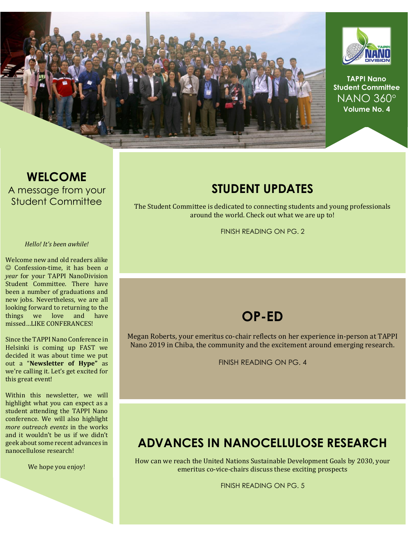



**TAPPI Nano Student Committee** NANO 360 **Volume No. 4**

#### **WELCOME** A message from your Student Committee

#### *Hello! It's been awhile!*

Welcome new and old readers alike ☺ Confession-time, it has been *a year* for your TAPPI NanoDivision Student Committee. There have been a number of graduations and new jobs. Nevertheless, we are all looking forward to returning to the things we love and have missed…LIKE CONFERANCES!

Since the TAPPI Nano Conference in Helsinki is coming up FAST we decided it was about time we put out a "**Newsletter of Hype"** as we're calling it. Let's get excited for this great event!

Within this newsletter, we will highlight what you can expect as a student attending the TAPPI Nano conference. We will also highlight *more outreach events* in the works and it wouldn't be us if we didn't geek about some recent advances in nanocellulose research!

We hope you enjoy!

#### **STUDENT UPDATES**

The Student Committee is dedicated to connecting students and young professionals around the world. Check out what we are up to!

FINISH READING ON PG. 2

### **OP-ED**

Megan Roberts, your emeritus co-chair reflects on her experience in-person at TAPPI Nano 2019 in Chiba, the community and the excitement around emerging research.

FINISH READING ON PG. 4

## **ADVANCES IN NANOCELLULOSE RESEARCH**

How can we reach the United Nations Sustainable Development Goals by 2030, your emeritus co-vice-chairs discuss these exciting prospects

FINISH READING ON PG. 5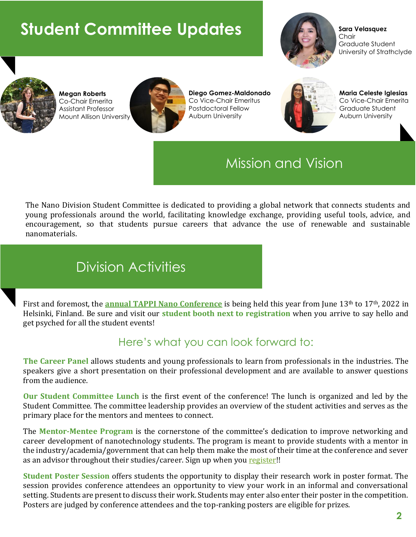# **Student Committee Updates**



**Sara Velasquez** Chair Graduate Student University of Strathclyde



**Megan Roberts** Co-Chair Emerita Assistant Professor Mount Allison University



**Diego Gomez-Maldonado** Co Vice-Chair Emeritus Postdoctoral Fellow Auburn University



**Maria Celeste Iglesias** Co Vice-Chair Emerita Graduate Student Auburn University

# Mission and Vision

The Nano Division Student Committee is dedicated to providing a global network that connects students and young professionals around the world, facilitating knowledge exchange, providing useful tools, advice, and encouragement, so that students pursue careers that advance the use of renewable and sustainable nanomaterials.

# Division Activities

First and foremost, the **[annual TAPPI Nano Conference](https://conference.tappinano.org/)** is being held this year from June 13<sup>th</sup> to 17<sup>th</sup>, 2022 in Helsinki, Finland. Be sure and visit our **student booth next to registration** when you arrive to say hello and get psyched for all the student events!

### Here's what you can look forward to:

**The Career Panel** allows students and young professionals to learn from professionals in the industries. The speakers give a short presentation on their professional development and are available to answer questions from the audience.

**Our Student Committee Lunch** is the first event of the conference! The lunch is organized and led by the Student Committee. The committee leadership provides an overview of the student activities and serves as the primary place for the mentors and mentees to connect.

The **Mentor-Mentee Program** is the cornerstone of the committee's dedication to improve networking and career development of nanotechnology students. The program is meant to provide students with a mentor in the industry/academia/government that can help them make the most of their time at the conference and sever as an advisor throughout their studies/career. Sign up when you [register!](https://na.eventscloud.com/ereg/imis.php?eventid=653757&t=eventid=653757&)!

**Student Poster Session** offers students the opportunity to display their research work in poster format. The session provides conference attendees an opportunity to view your work in an informal and conversational setting. Students are present to discuss their work. Students may enter also enter their poster in the competition. Posters are judged by conference attendees and the top-ranking posters are eligible for prizes.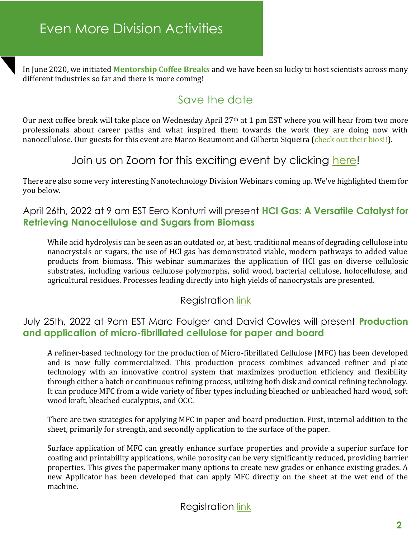In June 2020, we initiated **Mentorship Coffee Breaks** and we have been so lucky to host scientists across many different industries so far and there is more coming!

### Save the date

Our next coffee break will take place on Wednesday April 27<sup>th</sup> at 1 pm EST where you will hear from two more professionals about career paths and what inspired them towards the work they are doing now with nanocellulose. Our guests for this event are Marco Beaumont and Gilberto Siqueira [\(check out their bios!!\)](https://drive.google.com/file/d/1Ju8X51NYzUd5oMunti817vdDwlQwQiJ7/view?usp=sharing).

#### Join us on Zoom for this exciting event by clicking [here!](https://tappinano.org/content/member-spotlight/april-coffee-break-nanotechnology-student-committee/)

There are also some very interesting Nanotechnology Division Webinars coming up. We've highlighted them for you below.

#### April 26th, 2022 at 9 am EST Eero Konturri will present **HCl Gas: A Versatile Catalyst for Retrieving Nanocellulose and Sugars from Biomass**

While acid hydrolysis can be seen as an outdated or, at best, traditional means of degrading cellulose into nanocrystals or sugars, the use of HCl gas has demonstrated viable, modern pathways to added value products from biomass. This webinar summarizes the application of HCl gas on diverse cellulosic substrates, including various cellulose polymorphs, solid wood, bacterial cellulose, holocellulose, and agricultural residues. Processes leading directly into high yields of nanocrystals are presented.

#### **Registration [link](https://www.tappi.org/event/calendar/all-events/nano-webinar-hcl-gas-a-versatile-catalyst-for-retrieving-nanocellulose-and-sugars-form-biomass/)**

#### July 25th, 2022 at 9am EST Marc Foulger and David Cowles will present **Production and application of micro-fibrillated cellulose for paper and board**

A refiner-based technology for the production of Micro-fibrillated Cellulose (MFC) has been developed and is now fully commercialized. This production process combines advanced refiner and plate technology with an innovative control system that maximizes production efficiency and flexibility through either a batch or continuous refining process, utilizing both disk and conical refining technology. It can produce MFC from a wide variety of fiber types including bleached or unbleached hard wood, soft wood kraft, bleached eucalyptus, and OCC.

There are two strategies for applying MFC in paper and board production. First, internal addition to the sheet, primarily for strength, and secondly application to the surface of the paper.

Surface application of MFC can greatly enhance surface properties and provide a superior surface for coating and printability applications, while porosity can be very significantly reduced, providing barrier properties. This gives the papermaker many options to create new grades or enhance existing grades. A new Applicator has been developed that can apply MFC directly on the sheet at the wet end of the machine.

Registration [link](https://www.tappi.org/event/calendar/all-events/production-and-application-of-micro-fibrillated-cellulose-for-paper-and-board/)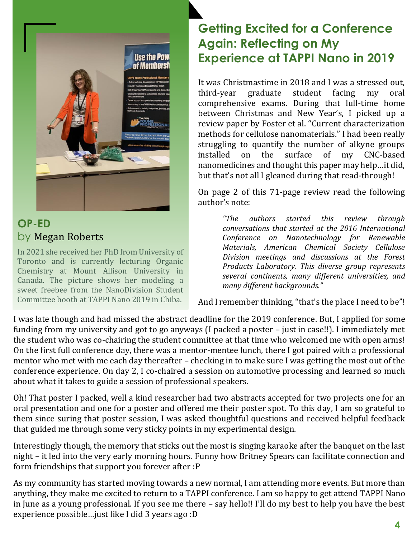

### **OP-ED** by Megan Roberts

In 2021 she received her PhD from University of Toronto and is currently lecturing Organic Chemistry at Mount Allison University in Canada. The picture shows her modeling a sweet freebee from the NanoDivision Student Committee booth at TAPPI Nano 2019 in Chiba.

# **Getting Excited for a Conference Again: Reflecting on My Experience at TAPPI Nano in 2019**

It was Christmastime in 2018 and I was a stressed out, third-year graduate student facing my oral comprehensive exams. During that lull-time home between Christmas and New Year's, I picked up a review paper by Foster et al. "Current characterization methods for cellulose nanomaterials." I had been really struggling to quantify the number of alkyne groups installed on the surface of my CNC-based nanomedicines and thought this paper may help…it did, but that's not all I gleaned during that read-through!

On page 2 of this 71-page review read the following author's note:

> *"The authors started this review through conversations that started at the 2016 International Conference on Nanotechnology for Renewable Materials, American Chemical Society Cellulose Division meetings and discussions at the Forest Products Laboratory. This diverse group represents several continents, many different universities, and many different backgrounds."*

And I remember thinking, "that's the place I need to be"!

I was late though and had missed the abstract deadline for the 2019 conference. But, I applied for some funding from my university and got to go anyways (I packed a poster – just in case!!). I immediately met the student who was co-chairing the student committee at that time who welcomed me with open arms! On the first full conference day, there was a mentor-mentee lunch, there I got paired with a professional mentor who met with me each day thereafter – checking in to make sure I was getting the most out of the conference experience. On day 2, I co-chaired a session on automotive processing and learned so much about what it takes to guide a session of professional speakers.

Oh! That poster I packed, well a kind researcher had two abstracts accepted for two projects one for an oral presentation and one for a poster and offered me their poster spot. To this day, I am so grateful to them since suring that poster session, I was asked thoughtful questions and received helpful feedback that guided me through some very sticky points in my experimental design.

Interestingly though, the memory that sticks out the most is singing karaoke after the banquet on the last night – it led into the very early morning hours. Funny how Britney Spears can facilitate connection and form friendships that support you forever after :P

As my community has started moving towards a new normal, I am attending more events. But more than anything, they make me excited to return to a TAPPI conference. I am so happy to get attend TAPPI Nano in June as a young professional. If you see me there – say hello!! I'll do my best to help you have the best experience possible…just like I did 3 years ago :D